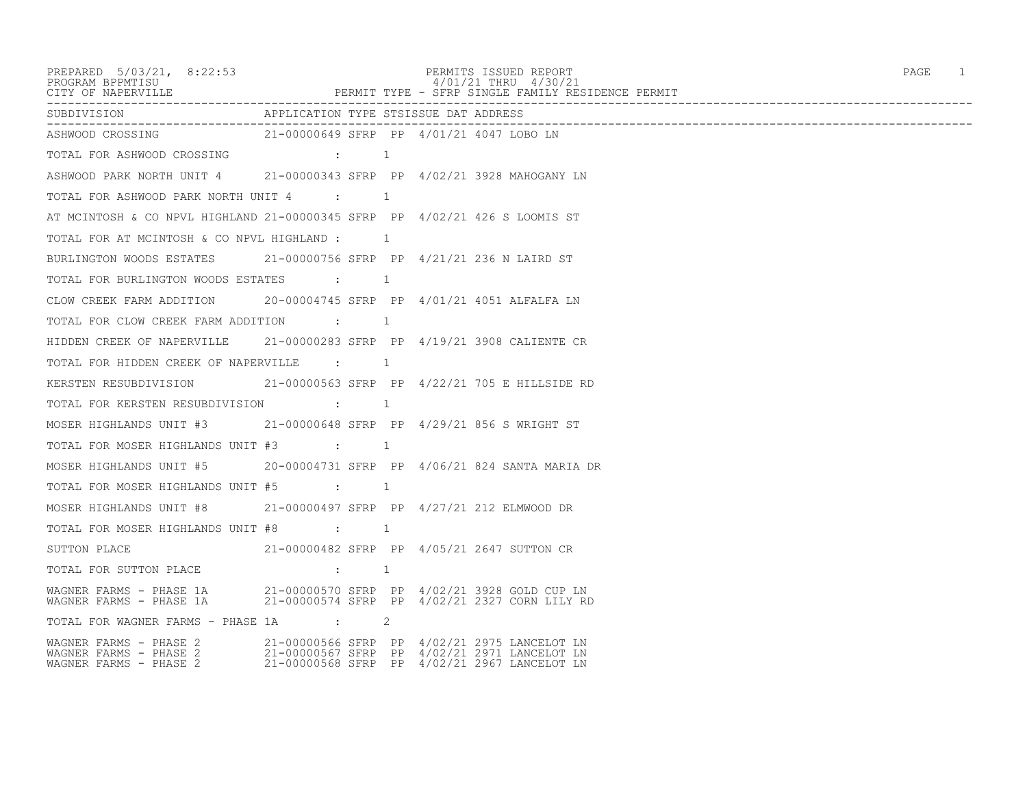PREPARED 5/03/21, 8:22:53 PERMITS ISSUED REPORT<br>PROGRAM BPPMTISU<br>
9/01/21 THRU 4/30/21 PROGRAM BPPMTISU 4/01/21 THRU 4/30/21 CITY OF NAPERVILLE PERMIT TYPE - SFRP SINGLE FAMILY RESIDENCE PERMIT ------------------------------------------------------------------------------------------------------------------------------------ APPLICATION TYPE STSISSUE DAT ADDRESS ------------------------------------------------------------------------------------------------------------------------------------ 21-00000649 SFRP PP 4/01/21 4047 LOBO LN TOTAL FOR ASHWOOD CROSSING : 1 ASHWOOD PARK NORTH UNIT 4 21-00000343 SFRP PP 4/02/21 3928 MAHOGANY LN TOTAL FOR ASHWOOD PARK NORTH UNIT 4 : 1 AT MCINTOSH & CO NPVL HIGHLAND 21-00000345 SFRP PP 4/02/21 426 S LOOMIS ST TOTAL FOR AT MCINTOSH & CO NPVL HIGHLAND : 1 BURLINGTON WOODS ESTATES 21-00000756 SFRP PP 4/21/21 236 N LAIRD ST TOTAL FOR BURLINGTON WOODS ESTATES : 1 CLOW CREEK FARM ADDITION 20-00004745 SFRP PP 4/01/21 4051 ALFALFA LN TOTAL FOR CLOW CREEK FARM ADDITION : 1 HIDDEN CREEK OF NAPERVILLE 21-00000283 SFRP PP 4/19/21 3908 CALIENTE CR TOTAL FOR HIDDEN CREEK OF NAPERVILLE : 1 KERSTEN RESUBDIVISION 21-00000563 SFRP PP 4/22/21 705 E HILLSIDE RD TOTAL FOR KERSTEN RESUBDIVISION :  $1$ MOSER HIGHLANDS UNIT #3 21-00000648 SFRP PP 4/29/21 856 S WRIGHT ST TOTAL FOR MOSER HIGHLANDS UNIT #3 : 1 MOSER HIGHLANDS UNIT #5 20-00004731 SFRP PP 4/06/21 824 SANTA MARIA DR TOTAL FOR MOSER HIGHLANDS UNIT #5 : 1 MOSER HIGHLANDS UNIT #8 21-00000497 SFRP PP 4/27/21 212 ELMWOOD DR TOTAL FOR MOSER HIGHLANDS UNIT #8 : 1 SUTTON PLACE 21-00000482 SFRP PP 4/05/21 2647 SUTTON CR TOTAL FOR SUTTON PLACE  $\qquad \qquad ; \qquad \qquad 1$ WAGNER FARMS - PHASE 1A 21-00000570 SFRP PP 4/02/21 3928 GOLD CUP LN 21-00000574 SFRP PP 4/02/21 2327 CORN LILY RD TOTAL FOR WAGNER FARMS - PHASE 1A : 2 WAGNER FARMS - PHASE 2 21-00000566 SFRP PP 4/02/21 2975 LANCELOT LN WAGNER FARMS - PHASE 2 21-00000567 SFRP PP 4/02/21 2971 LANCELOT LN WAGNER FARMS - PHASE 2 21-00000568 SFRP PP 4/02/21 2967 LANCELOT LN